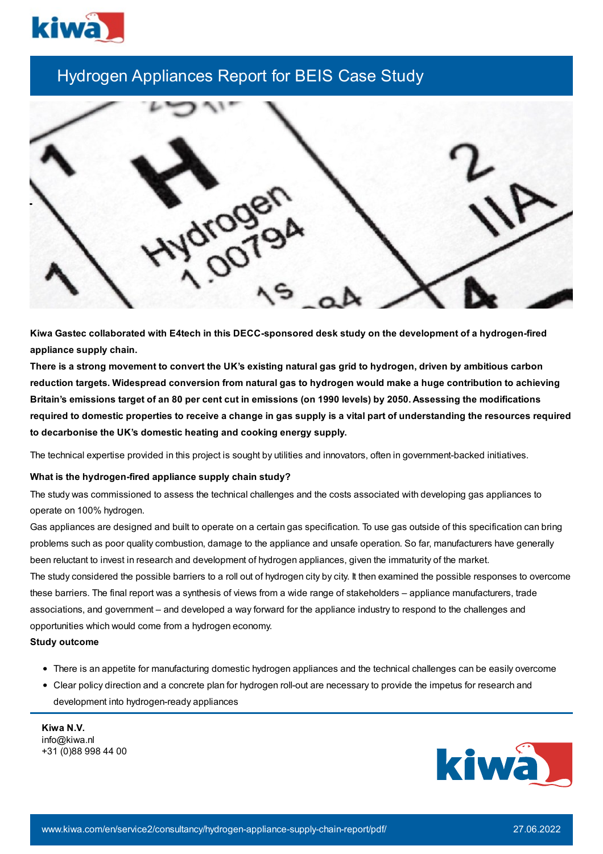

## Hydrogen Appliances Report for BEIS Case Study



**Kiwa Gastec collaborated with E4tech in this DECC-sponsored desk study on the development of a hydrogen-fired appliance supply chain.**

There is a strong movement to convert the UK's existing natural gas grid to hydrogen, driven by ambitious carbon reduction targets. Widespread conversion from natural gas to hydrogen would make a huge contribution to achieving Britain's emissions target of an 80 per cent cut in emissions (on 1990 levels) by 2050. Assessing the modifications required to domestic properties to receive a change in gas supply is a vital part of understanding the resources required **to decarbonise the UK's domestic heating and cooking energy supply.**

The technical expertise provided in this project is sought by utilities and innovators, often in government-backed initiatives.

## **What is the hydrogen-fired appliance supply chain study?**

The study was commissioned to assess the technical challenges and the costs associated with developing gas appliances to operate on 100% hydrogen.

Gas appliances are designed and built to operate on a certain gas specification. To use gas outside of this specification can bring problems such as poor quality combustion, damage to the appliance and unsafe operation. So far, manufacturers have generally been reluctant to invest in research and development of hydrogen appliances, given the immaturity of the market.

The study considered the possible barriers to a roll out of hydrogen city by city. It then examined the possible responses to overcome these barriers. The final report was a synthesis of views from a wide range of stakeholders – appliance manufacturers, trade associations, and government – and developed a way forward for the appliance industry to respond to the challenges and opportunities which would come from a hydrogen economy.

## **Study outcome**

- There is an appetite for manufacturing domestic hydrogen appliances and the technical challenges can be easily overcome
- Clear policy direction and a concrete plan for hydrogen roll-out are necessary to provide the impetus for research and development into hydrogen-ready appliances

**Kiwa N.V.** info@kiwa.nl +31 (0)88 998 44 00